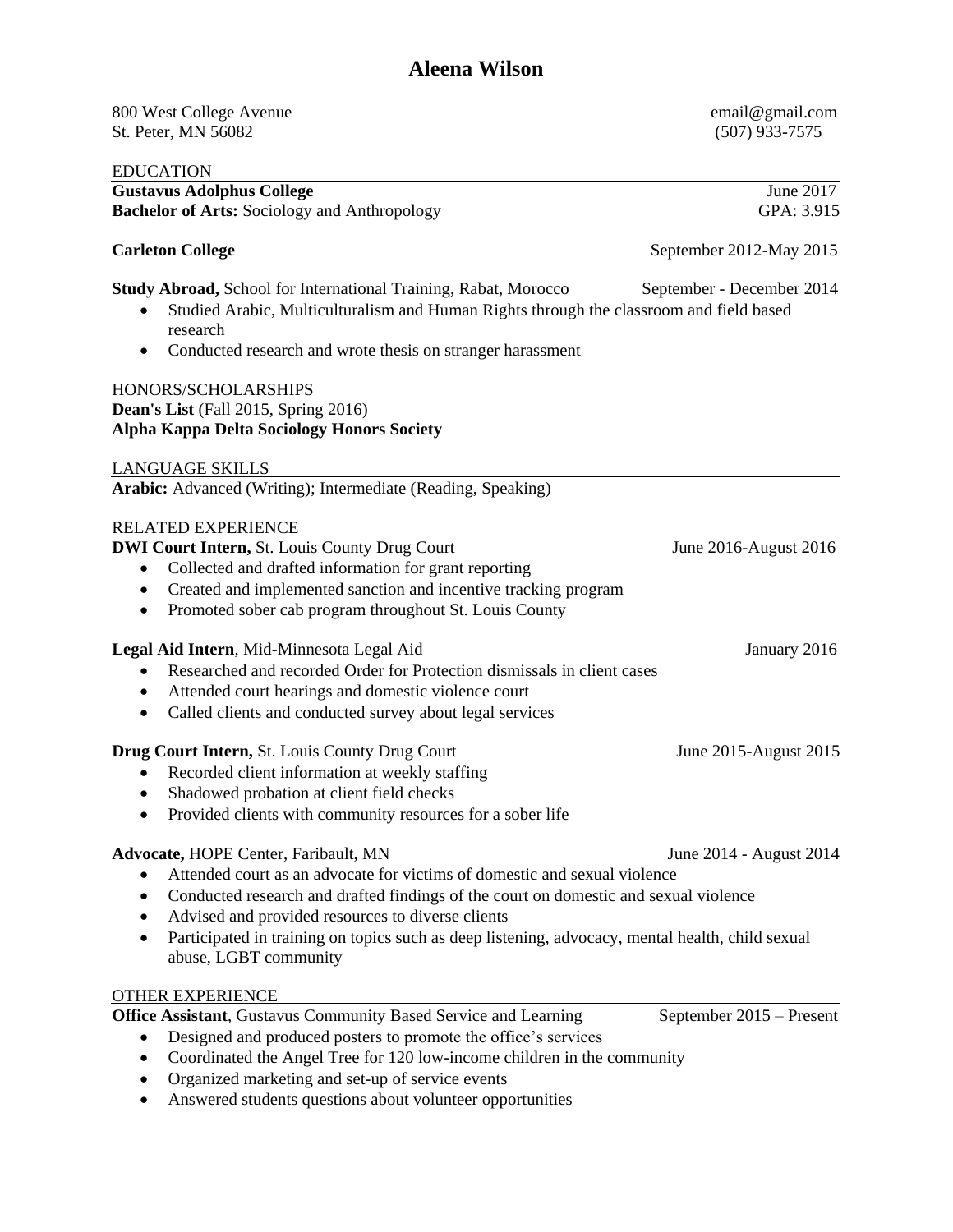## **Aleena Wilson**

| 800 West College Avenue<br>St. Peter, MN 56082                                                                                                                                                                                       | email@gmail.com<br>$(507)$ 933-7575 |
|--------------------------------------------------------------------------------------------------------------------------------------------------------------------------------------------------------------------------------------|-------------------------------------|
| <b>EDUCATION</b><br><b>Gustavus Adolphus College</b><br><b>Bachelor of Arts: Sociology and Anthropology</b>                                                                                                                          | June 2017<br>GPA: 3.915             |
|                                                                                                                                                                                                                                      |                                     |
| <b>Carleton College</b>                                                                                                                                                                                                              | September 2012-May 2015             |
| Study Abroad, School for International Training, Rabat, Morocco<br>Studied Arabic, Multiculturalism and Human Rights through the classroom and field based<br>research<br>Conducted research and wrote thesis on stranger harassment | September - December 2014           |
| HONORS/SCHOLARSHIPS                                                                                                                                                                                                                  |                                     |
| Dean's List (Fall 2015, Spring 2016)<br><b>Alpha Kappa Delta Sociology Honors Society</b>                                                                                                                                            |                                     |
| <b>LANGUAGE SKILLS</b>                                                                                                                                                                                                               |                                     |
| Arabic: Advanced (Writing); Intermediate (Reading, Speaking)                                                                                                                                                                         |                                     |
| RELATED EXPERIENCE                                                                                                                                                                                                                   |                                     |
| <b>DWI Court Intern, St. Louis County Drug Court</b>                                                                                                                                                                                 | June 2016-August 2016               |
| Collected and drafted information for grant reporting                                                                                                                                                                                |                                     |
| Created and implemented sanction and incentive tracking program<br>٠                                                                                                                                                                 |                                     |
| Promoted sober cab program throughout St. Louis County<br>٠                                                                                                                                                                          |                                     |
| Legal Aid Intern, Mid-Minnesota Legal Aid                                                                                                                                                                                            | January 2016                        |
| Researched and recorded Order for Protection dismissals in client cases                                                                                                                                                              |                                     |
| Attended court hearings and domestic violence court<br>$\bullet$                                                                                                                                                                     |                                     |
| Called clients and conducted survey about legal services<br>$\bullet$                                                                                                                                                                |                                     |
| Drug Court Intern, St. Louis County Drug Court                                                                                                                                                                                       | June 2015-August 2015               |
| Recorded client information at weekly staffing                                                                                                                                                                                       |                                     |
| Shadowed probation at client field checks                                                                                                                                                                                            |                                     |
| Provided clients with community resources for a sober life                                                                                                                                                                           |                                     |
|                                                                                                                                                                                                                                      |                                     |
| Advocate, HOPE Center, Faribault, MN                                                                                                                                                                                                 | June 2014 - August 2014             |
| Attended court as an advocate for victims of domestic and sexual violence                                                                                                                                                            |                                     |
| Conducted research and drafted findings of the court on domestic and sexual violence<br>٠                                                                                                                                            |                                     |
| Advised and provided resources to diverse clients<br>Participated in training on topics such as deep listening, advocacy, mental health, child sexual                                                                                |                                     |
| abuse, LGBT community                                                                                                                                                                                                                |                                     |
| <b>OTHER EXPERIENCE</b>                                                                                                                                                                                                              |                                     |
| Office Assistant, Gustavus Community Based Service and Learning                                                                                                                                                                      | September 2015 – Present            |
| Designed and produced posters to promote the office's services                                                                                                                                                                       |                                     |
| Coordinated the Angel Tree for 120 low-income children in the community<br>$\bullet$                                                                                                                                                 |                                     |
| Organized marketing and set-up of service events                                                                                                                                                                                     |                                     |

Answered students questions about volunteer opportunities